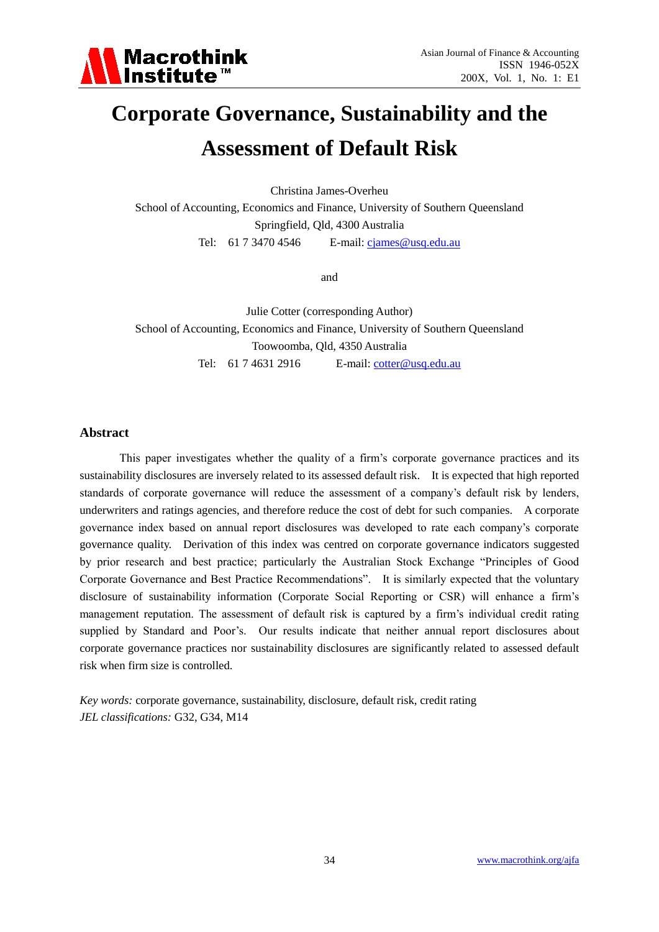

## **Corporate Governance, Sustainability and the Assessment of Default Risk**

Christina James-Overheu School of Accounting, Economics and Finance, University of Southern Queensland Springfield, Qld, 4300 Australia Tel: 61 7 3470 4546 E-mail: [cjames@usq.edu.au](mailto:cjames@usq.edu.au)

and

Julie Cotter (corresponding Author) School of Accounting, Economics and Finance, University of Southern Queensland Toowoomba, Qld, 4350 Australia Tel: 61 7 4631 2916 E-mail[: cotter@usq.edu.au](mailto:cotter@usq.edu.au)

#### **Abstract**

This paper investigates whether the quality of a firm"s corporate governance practices and its sustainability disclosures are inversely related to its assessed default risk. It is expected that high reported standards of corporate governance will reduce the assessment of a company"s default risk by lenders, underwriters and ratings agencies, and therefore reduce the cost of debt for such companies. A corporate governance index based on annual report disclosures was developed to rate each company"s corporate governance quality. Derivation of this index was centred on corporate governance indicators suggested by prior research and best practice; particularly the Australian Stock Exchange "Principles of Good Corporate Governance and Best Practice Recommendations". It is similarly expected that the voluntary disclosure of sustainability information (Corporate Social Reporting or CSR) will enhance a firm"s management reputation. The assessment of default risk is captured by a firm"s individual credit rating supplied by Standard and Poor's. Our results indicate that neither annual report disclosures about corporate governance practices nor sustainability disclosures are significantly related to assessed default risk when firm size is controlled.

*Key words:* corporate governance, sustainability, disclosure, default risk, credit rating *JEL classifications:* G32, G34, M14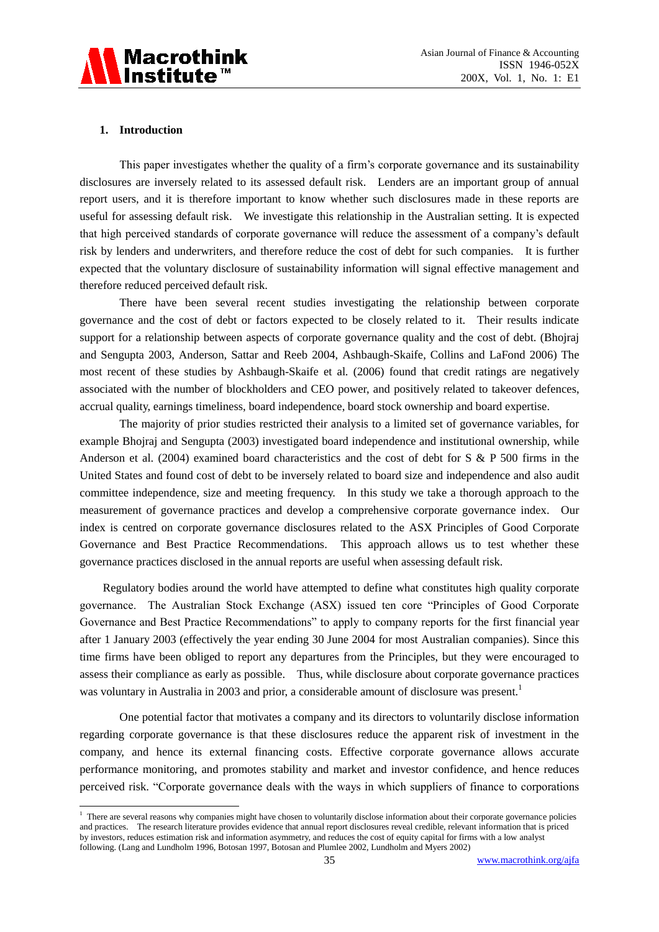

#### **1. Introduction**

-

This paper investigates whether the quality of a firm"s corporate governance and its sustainability disclosures are inversely related to its assessed default risk. Lenders are an important group of annual report users, and it is therefore important to know whether such disclosures made in these reports are useful for assessing default risk. We investigate this relationship in the Australian setting. It is expected that high perceived standards of corporate governance will reduce the assessment of a company"s default risk by lenders and underwriters, and therefore reduce the cost of debt for such companies. It is further expected that the voluntary disclosure of sustainability information will signal effective management and therefore reduced perceived default risk.

There have been several recent studies investigating the relationship between corporate governance and the cost of debt or factors expected to be closely related to it. Their results indicate support for a relationship between aspects of corporate governance quality and the cost of debt. (Bhojraj and Sengupta 2003, Anderson, Sattar and Reeb 2004, Ashbaugh-Skaife, Collins and LaFond 2006) The most recent of these studies by Ashbaugh-Skaife et al. (2006) found that credit ratings are negatively associated with the number of blockholders and CEO power, and positively related to takeover defences, accrual quality, earnings timeliness, board independence, board stock ownership and board expertise.

The majority of prior studies restricted their analysis to a limited set of governance variables, for example Bhojraj and Sengupta (2003) investigated board independence and institutional ownership, while Anderson et al. (2004) examined board characteristics and the cost of debt for S & P 500 firms in the United States and found cost of debt to be inversely related to board size and independence and also audit committee independence, size and meeting frequency. In this study we take a thorough approach to the measurement of governance practices and develop a comprehensive corporate governance index. Our index is centred on corporate governance disclosures related to the ASX Principles of Good Corporate Governance and Best Practice Recommendations. This approach allows us to test whether these governance practices disclosed in the annual reports are useful when assessing default risk.

Regulatory bodies around the world have attempted to define what constitutes high quality corporate governance. The Australian Stock Exchange (ASX) issued ten core "Principles of Good Corporate Governance and Best Practice Recommendations" to apply to company reports for the first financial year after 1 January 2003 (effectively the year ending 30 June 2004 for most Australian companies). Since this time firms have been obliged to report any departures from the Principles, but they were encouraged to assess their compliance as early as possible. Thus, while disclosure about corporate governance practices was voluntary in Australia in 2003 and prior, a considerable amount of disclosure was present.<sup>1</sup>

One potential factor that motivates a company and its directors to voluntarily disclose information regarding corporate governance is that these disclosures reduce the apparent risk of investment in the company, and hence its external financing costs. Effective corporate governance allows accurate performance monitoring, and promotes stability and market and investor confidence, and hence reduces perceived risk. "Corporate governance deals with the ways in which suppliers of finance to corporations

<sup>&</sup>lt;sup>1</sup> There are several reasons why companies might have chosen to voluntarily disclose information about their corporate governance policies and practices. The research literature provides evidence that annual report disclosures reveal credible, relevant information that is priced by investors, reduces estimation risk and information asymmetry, and reduces the cost of equity capital for firms with a low analyst following. (Lang and Lundholm 1996, Botosan 1997, Botosan and Plumlee 2002, Lundholm and Myers 2002)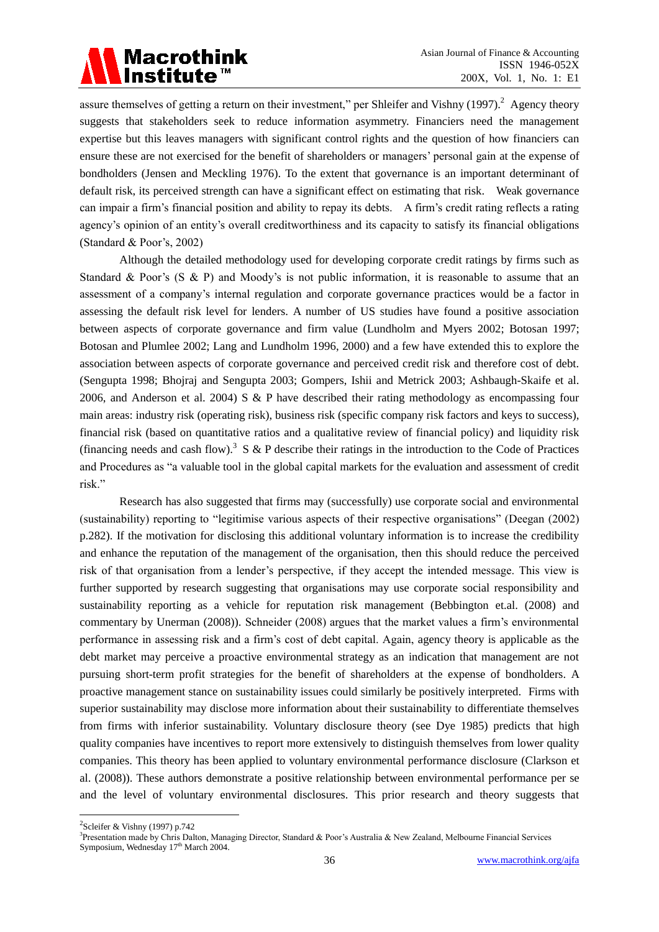

assure themselves of getting a return on their investment," per Shleifer and Vishny (1997). Agency theory suggests that stakeholders seek to reduce information asymmetry. Financiers need the management expertise but this leaves managers with significant control rights and the question of how financiers can ensure these are not exercised for the benefit of shareholders or managers" personal gain at the expense of bondholders (Jensen and Meckling 1976). To the extent that governance is an important determinant of default risk, its perceived strength can have a significant effect on estimating that risk. Weak governance can impair a firm"s financial position and ability to repay its debts. A firm"s credit rating reflects a rating agency"s opinion of an entity"s overall creditworthiness and its capacity to satisfy its financial obligations (Standard & Poor"s, 2002)

Although the detailed methodology used for developing corporate credit ratings by firms such as Standard & Poor's (S & P) and Moody's is not public information, it is reasonable to assume that an assessment of a company"s internal regulation and corporate governance practices would be a factor in assessing the default risk level for lenders. A number of US studies have found a positive association between aspects of corporate governance and firm value (Lundholm and Myers 2002; Botosan 1997; Botosan and Plumlee 2002; Lang and Lundholm 1996, 2000) and a few have extended this to explore the association between aspects of corporate governance and perceived credit risk and therefore cost of debt. (Sengupta 1998; Bhojraj and Sengupta 2003; Gompers, Ishii and Metrick 2003; Ashbaugh-Skaife et al. 2006, and Anderson et al. 2004) S & P have described their rating methodology as encompassing four main areas: industry risk (operating risk), business risk (specific company risk factors and keys to success), financial risk (based on quantitative ratios and a qualitative review of financial policy) and liquidity risk (financing needs and cash flow).<sup>3</sup> S & P describe their ratings in the introduction to the Code of Practices and Procedures as "a valuable tool in the global capital markets for the evaluation and assessment of credit risk."

Research has also suggested that firms may (successfully) use corporate social and environmental (sustainability) reporting to "legitimise various aspects of their respective organisations" (Deegan (2002) p.282). If the motivation for disclosing this additional voluntary information is to increase the credibility and enhance the reputation of the management of the organisation, then this should reduce the perceived risk of that organisation from a lender"s perspective, if they accept the intended message. This view is further supported by research suggesting that organisations may use corporate social responsibility and sustainability reporting as a vehicle for reputation risk management (Bebbington et.al. (2008) and commentary by Unerman (2008)). Schneider (2008) argues that the market values a firm"s environmental performance in assessing risk and a firm"s cost of debt capital. Again, agency theory is applicable as the debt market may perceive a proactive environmental strategy as an indication that management are not pursuing short-term profit strategies for the benefit of shareholders at the expense of bondholders. A proactive management stance on sustainability issues could similarly be positively interpreted. Firms with superior sustainability may disclose more information about their sustainability to differentiate themselves from firms with inferior sustainability. Voluntary disclosure theory (see Dye 1985) predicts that high quality companies have incentives to report more extensively to distinguish themselves from lower quality companies. This theory has been applied to voluntary environmental performance disclosure (Clarkson et al. (2008)). These authors demonstrate a positive relationship between environmental performance per se and the level of voluntary environmental disclosures. This prior research and theory suggests that

<u>.</u>

<sup>&</sup>lt;sup>2</sup>Scleifer & Vishny (1997) p.742

<sup>&</sup>lt;sup>3</sup>Presentation made by Chris Dalton, Managing Director, Standard & Poor's Australia & New Zealand, Melbourne Financial Services

Symposium, Wednesday 17<sup>th</sup> March 2004.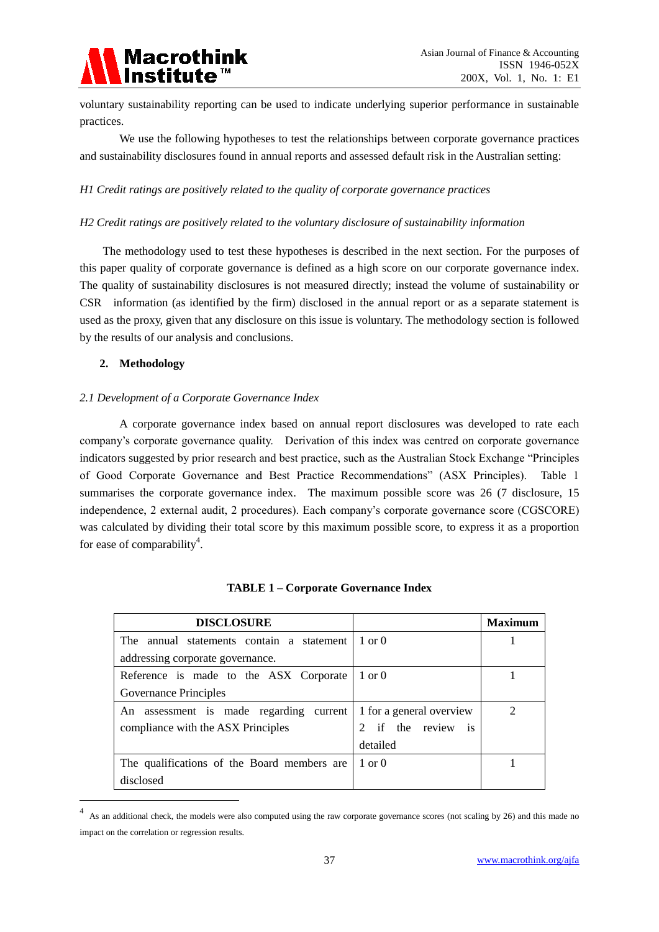

voluntary sustainability reporting can be used to indicate underlying superior performance in sustainable practices.

We use the following hypotheses to test the relationships between corporate governance practices and sustainability disclosures found in annual reports and assessed default risk in the Australian setting:

#### *H1 Credit ratings are positively related to the quality of corporate governance practices*

#### *H2 Credit ratings are positively related to the voluntary disclosure of sustainability information*

The methodology used to test these hypotheses is described in the next section. For the purposes of this paper quality of corporate governance is defined as a high score on our corporate governance index. The quality of sustainability disclosures is not measured directly; instead the volume of sustainability or CSR information (as identified by the firm) disclosed in the annual report or as a separate statement is used as the proxy, given that any disclosure on this issue is voluntary. The methodology section is followed by the results of our analysis and conclusions.

#### **2. Methodology**

<u>.</u>

#### *2.1 Development of a Corporate Governance Index*

A corporate governance index based on annual report disclosures was developed to rate each company"s corporate governance quality. Derivation of this index was centred on corporate governance indicators suggested by prior research and best practice, such as the Australian Stock Exchange "Principles of Good Corporate Governance and Best Practice Recommendations" (ASX Principles). Table 1 summarises the corporate governance index. The maximum possible score was 26 (7 disclosure, 15 independence, 2 external audit, 2 procedures). Each company"s corporate governance score (CGSCORE) was calculated by dividing their total score by this maximum possible score, to express it as a proportion for ease of comparability<sup>4</sup>.

| <b>DISCLOSURE</b>                           |                                                 | <b>Maximum</b>              |
|---------------------------------------------|-------------------------------------------------|-----------------------------|
| The annual statements contain a statement   | $1 \text{ or } 0$                               |                             |
| addressing corporate governance.            |                                                 |                             |
| Reference is made to the ASX Corporate      | $1 \text{ or } 0$                               |                             |
| Governance Principles                       |                                                 |                             |
| An assessment is made regarding current     | 1 for a general overview                        | $\mathcal{D}_{\mathcal{L}}$ |
| compliance with the ASX Principles          | if the review is<br>$\mathcal{D}_{\mathcal{L}}$ |                             |
|                                             | detailed                                        |                             |
| The qualifications of the Board members are | $1 \text{ or } 0$                               |                             |
| disclosed                                   |                                                 |                             |

#### **TABLE 1 – Corporate Governance Index**

<sup>4</sup> As an additional check, the models were also computed using the raw corporate governance scores (not scaling by 26) and this made no impact on the correlation or regression results.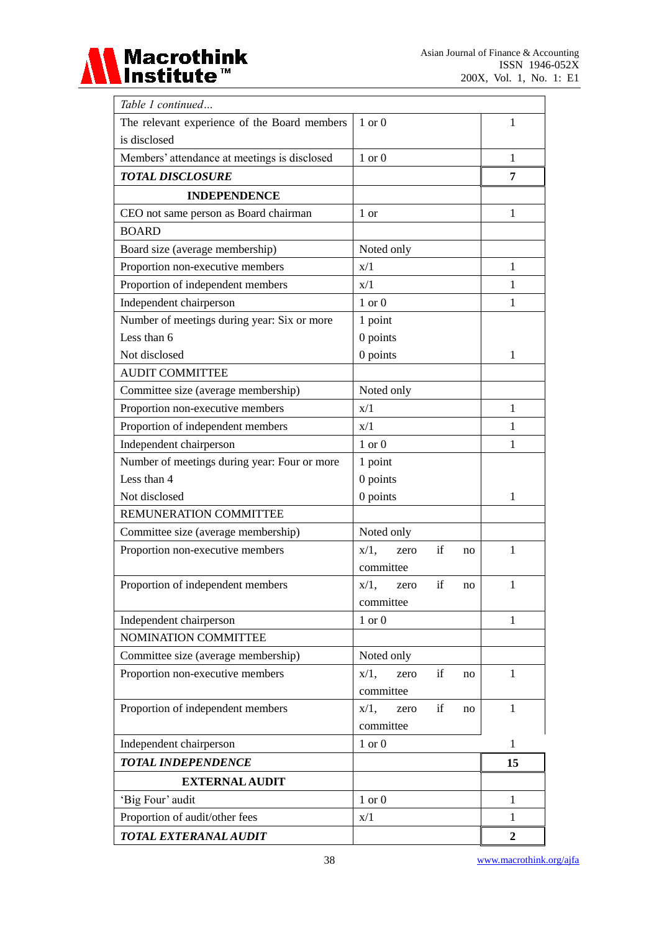| Table 1 continued                            |                             |              |
|----------------------------------------------|-----------------------------|--------------|
| The relevant experience of the Board members | $1$ or $0$                  | 1            |
| is disclosed                                 |                             |              |
| Members' attendance at meetings is disclosed | $1$ or $0$                  | 1            |
| <b>TOTAL DISCLOSURE</b>                      |                             | 7            |
| <b>INDEPENDENCE</b>                          |                             |              |
| CEO not same person as Board chairman        | 1 or                        | 1            |
| <b>BOARD</b>                                 |                             |              |
| Board size (average membership)              | Noted only                  |              |
| Proportion non-executive members             | x/1                         | 1            |
| Proportion of independent members            | x/1                         | 1            |
| Independent chairperson                      | $1$ or $0$                  | 1            |
| Number of meetings during year: Six or more  | 1 point                     |              |
| Less than 6                                  | 0 points                    |              |
| Not disclosed                                | 0 points                    | 1            |
| <b>AUDIT COMMITTEE</b>                       |                             |              |
| Committee size (average membership)          | Noted only                  |              |
| Proportion non-executive members             | x/1                         | 1            |
| Proportion of independent members            | x/1                         | 1            |
| Independent chairperson                      | $1$ or $0$                  | 1            |
| Number of meetings during year: Four or more | 1 point                     |              |
| Less than 4                                  | 0 points                    |              |
| Not disclosed                                | 0 points                    | 1            |
| REMUNERATION COMMITTEE                       |                             |              |
| Committee size (average membership)          | Noted only                  |              |
| Proportion non-executive members             | if<br>$x/1$ ,<br>zero<br>no | 1            |
|                                              | committee                   |              |
| Proportion of independent members            | if<br>$x/1$ ,<br>zero<br>no | 1            |
|                                              | committee                   |              |
| Independent chairperson                      | $1$ or $0$                  | $\mathbf{1}$ |
| NOMINATION COMMITTEE                         |                             |              |
| Committee size (average membership)          | Noted only                  |              |
| Proportion non-executive members             | $x/1$ ,<br>if<br>zero<br>no | 1            |
|                                              | committee                   |              |
| Proportion of independent members            | if<br>$x/1$ ,<br>zero<br>no | 1            |
|                                              | committee                   |              |
| Independent chairperson                      | $1$ or $0$                  | 1            |
| <b>TOTAL INDEPENDENCE</b>                    |                             | 15           |
| <b>EXTERNAL AUDIT</b>                        |                             |              |
| 'Big Four' audit                             | $1$ or $0$                  | $\mathbf{1}$ |
| Proportion of audit/other fees               | x/1                         | 1            |
| TOTAL EXTERANAL AUDIT                        |                             | 2            |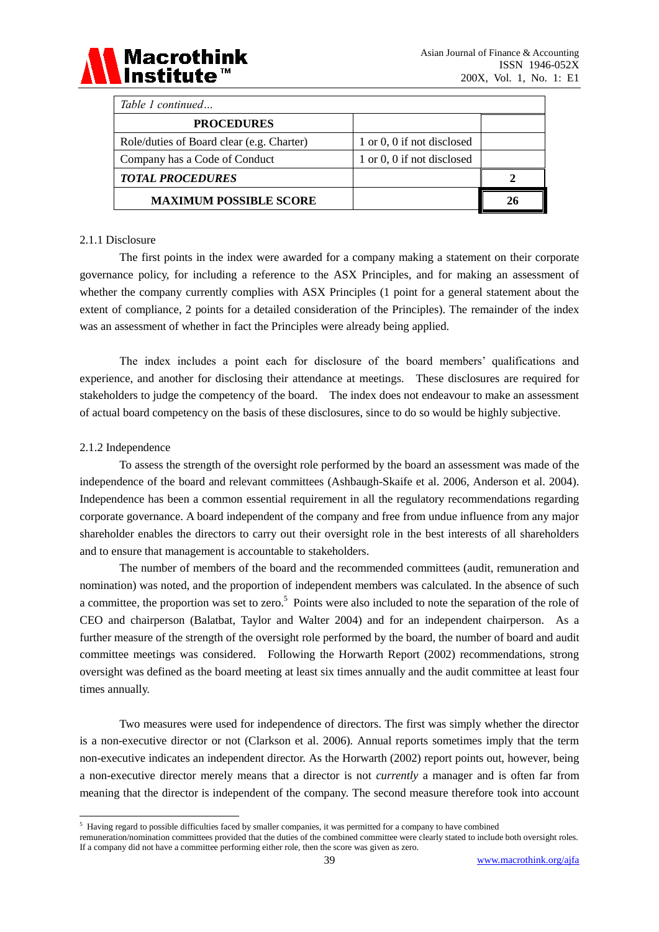

| Table 1 continued                         |                            |  |
|-------------------------------------------|----------------------------|--|
| <b>PROCEDURES</b>                         |                            |  |
| Role/duties of Board clear (e.g. Charter) | 1 or 0, 0 if not disclosed |  |
| Company has a Code of Conduct             | 1 or 0, 0 if not disclosed |  |
| <b>TOTAL PROCEDURES</b>                   |                            |  |
| <b>MAXIMUM POSSIBLE SCORE</b>             |                            |  |

#### 2.1.1 Disclosure

The first points in the index were awarded for a company making a statement on their corporate governance policy, for including a reference to the ASX Principles, and for making an assessment of whether the company currently complies with ASX Principles (1 point for a general statement about the extent of compliance, 2 points for a detailed consideration of the Principles). The remainder of the index was an assessment of whether in fact the Principles were already being applied.

The index includes a point each for disclosure of the board members" qualifications and experience, and another for disclosing their attendance at meetings. These disclosures are required for stakeholders to judge the competency of the board. The index does not endeavour to make an assessment of actual board competency on the basis of these disclosures, since to do so would be highly subjective.

#### 2.1.2 Independence

<u>.</u>

To assess the strength of the oversight role performed by the board an assessment was made of the independence of the board and relevant committees (Ashbaugh-Skaife et al. 2006, Anderson et al. 2004). Independence has been a common essential requirement in all the regulatory recommendations regarding corporate governance. A board independent of the company and free from undue influence from any major shareholder enables the directors to carry out their oversight role in the best interests of all shareholders and to ensure that management is accountable to stakeholders.

The number of members of the board and the recommended committees (audit, remuneration and nomination) was noted, and the proportion of independent members was calculated. In the absence of such a committee, the proportion was set to zero.<sup>5</sup> Points were also included to note the separation of the role of CEO and chairperson (Balatbat, Taylor and Walter 2004) and for an independent chairperson. As a further measure of the strength of the oversight role performed by the board, the number of board and audit committee meetings was considered. Following the Horwarth Report (2002) recommendations, strong oversight was defined as the board meeting at least six times annually and the audit committee at least four times annually.

Two measures were used for independence of directors. The first was simply whether the director is a non-executive director or not (Clarkson et al. 2006). Annual reports sometimes imply that the term non-executive indicates an independent director. As the Horwarth (2002) report points out, however, being a non-executive director merely means that a director is not *currently* a manager and is often far from meaning that the director is independent of the company. The second measure therefore took into account

 $<sup>5</sup>$  Having regard to possible difficulties faced by smaller companies, it was permitted for a company to have combined</sup>

remuneration/nomination committees provided that the duties of the combined committee were clearly stated to include both oversight roles. If a company did not have a committee performing either role, then the score was given as zero.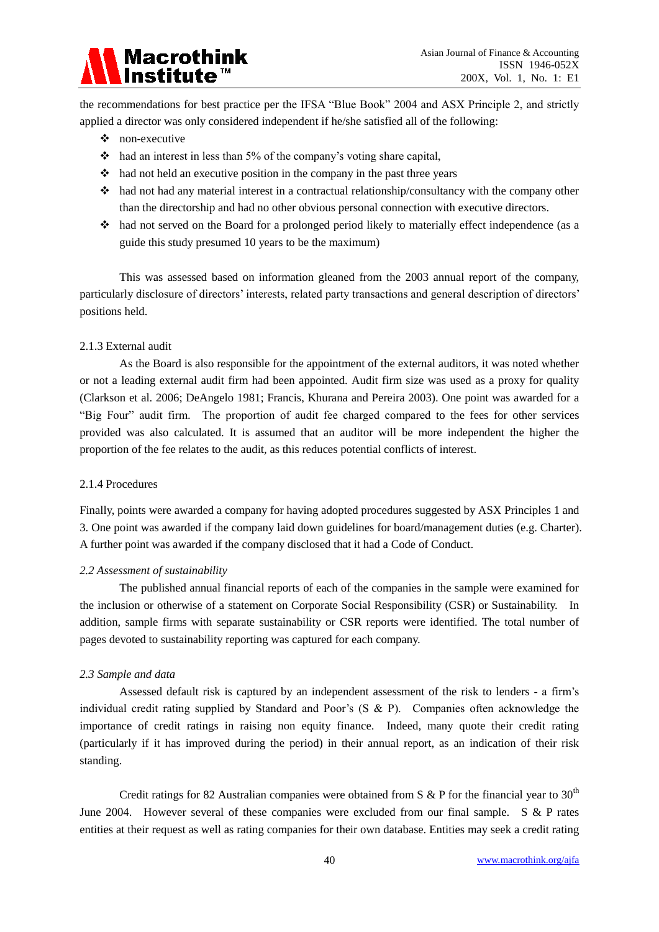

the recommendations for best practice per the IFSA "Blue Book" 2004 and ASX Principle 2, and strictly applied a director was only considered independent if he/she satisfied all of the following:

- non-executive
- $\cdot \cdot$  had an interest in less than 5% of the company's voting share capital,
- $\cdot$  had not held an executive position in the company in the past three years
- had not had any material interest in a contractual relationship/consultancy with the company other than the directorship and had no other obvious personal connection with executive directors.
- had not served on the Board for a prolonged period likely to materially effect independence (as a guide this study presumed 10 years to be the maximum)

This was assessed based on information gleaned from the 2003 annual report of the company, particularly disclosure of directors' interests, related party transactions and general description of directors' positions held.

#### 2.1.3 External audit

As the Board is also responsible for the appointment of the external auditors, it was noted whether or not a leading external audit firm had been appointed. Audit firm size was used as a proxy for quality (Clarkson et al. 2006; DeAngelo 1981; Francis, Khurana and Pereira 2003). One point was awarded for a "Big Four" audit firm. The proportion of audit fee charged compared to the fees for other services provided was also calculated. It is assumed that an auditor will be more independent the higher the proportion of the fee relates to the audit, as this reduces potential conflicts of interest.

#### 2.1.4 Procedures

Finally, points were awarded a company for having adopted procedures suggested by ASX Principles 1 and 3. One point was awarded if the company laid down guidelines for board/management duties (e.g. Charter). A further point was awarded if the company disclosed that it had a Code of Conduct.

#### *2.2 Assessment of sustainability*

The published annual financial reports of each of the companies in the sample were examined for the inclusion or otherwise of a statement on Corporate Social Responsibility (CSR) or Sustainability. In addition, sample firms with separate sustainability or CSR reports were identified. The total number of pages devoted to sustainability reporting was captured for each company.

#### *2.3 Sample and data*

Assessed default risk is captured by an independent assessment of the risk to lenders - a firm"s individual credit rating supplied by Standard and Poor's  $(S \& P)$ . Companies often acknowledge the importance of credit ratings in raising non equity finance. Indeed, many quote their credit rating (particularly if it has improved during the period) in their annual report, as an indication of their risk standing.

Credit ratings for 82 Australian companies were obtained from S & P for the financial year to 30<sup>th</sup> June 2004. However several of these companies were excluded from our final sample. S & P rates entities at their request as well as rating companies for their own database. Entities may seek a credit rating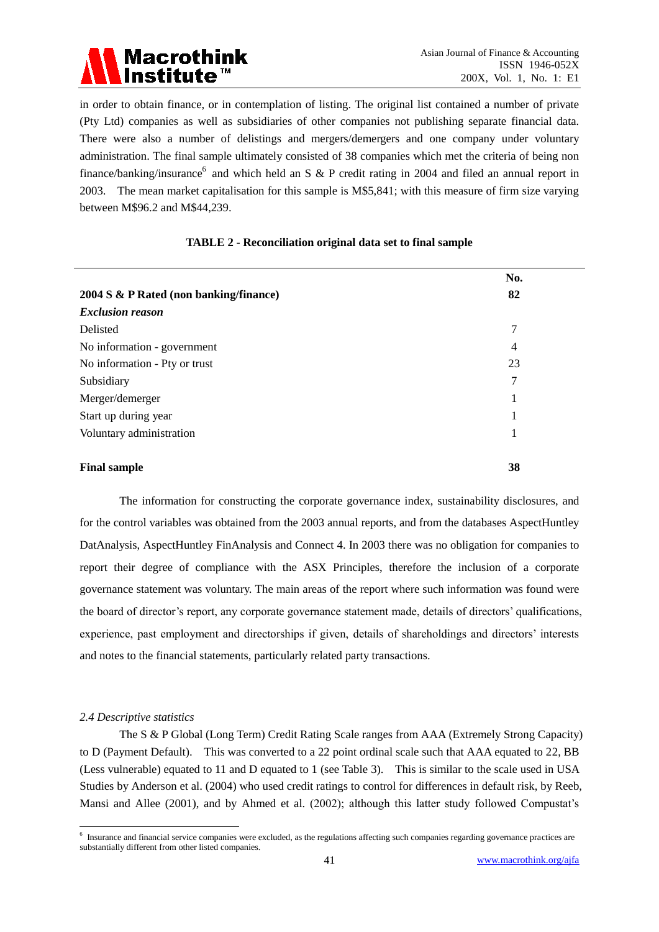

in order to obtain finance, or in contemplation of listing. The original list contained a number of private (Pty Ltd) companies as well as subsidiaries of other companies not publishing separate financial data. There were also a number of delistings and mergers/demergers and one company under voluntary administration. The final sample ultimately consisted of 38 companies which met the criteria of being non finance/banking/insurance<sup>6</sup> and which held an S & P credit rating in 2004 and filed an annual report in 2003. The mean market capitalisation for this sample is M\$5,841; with this measure of firm size varying between M\$96.2 and M\$44,239.

|                                        | No. |
|----------------------------------------|-----|
| 2004 S & P Rated (non banking/finance) | 82  |
| <b>Exclusion reason</b>                |     |
| Delisted                               | 7   |
| No information - government            | 4   |
| No information - Pty or trust          | 23  |
| Subsidiary                             | 7   |
| Merger/demerger                        |     |
| Start up during year                   |     |
| Voluntary administration               |     |
|                                        |     |
| <b>Final sample</b>                    | 38  |

#### **TABLE 2 - Reconciliation original data set to final sample**

The information for constructing the corporate governance index, sustainability disclosures, and for the control variables was obtained from the 2003 annual reports, and from the databases AspectHuntley DatAnalysis, AspectHuntley FinAnalysis and Connect 4. In 2003 there was no obligation for companies to report their degree of compliance with the ASX Principles, therefore the inclusion of a corporate governance statement was voluntary. The main areas of the report where such information was found were the board of director"s report, any corporate governance statement made, details of directors" qualifications, experience, past employment and directorships if given, details of shareholdings and directors" interests and notes to the financial statements, particularly related party transactions.

#### *2.4 Descriptive statistics*

-

The S & P Global (Long Term) Credit Rating Scale ranges from AAA (Extremely Strong Capacity) to D (Payment Default). This was converted to a 22 point ordinal scale such that AAA equated to 22, BB (Less vulnerable) equated to 11 and D equated to 1 (see Table 3). This is similar to the scale used in USA Studies by Anderson et al. (2004) who used credit ratings to control for differences in default risk, by Reeb, Mansi and Allee (2001), and by Ahmed et al. (2002); although this latter study followed Compustat's

<sup>&</sup>lt;sup>6</sup> Insurance and financial service companies were excluded, as the regulations affecting such companies regarding governance practices are substantially different from other listed companies.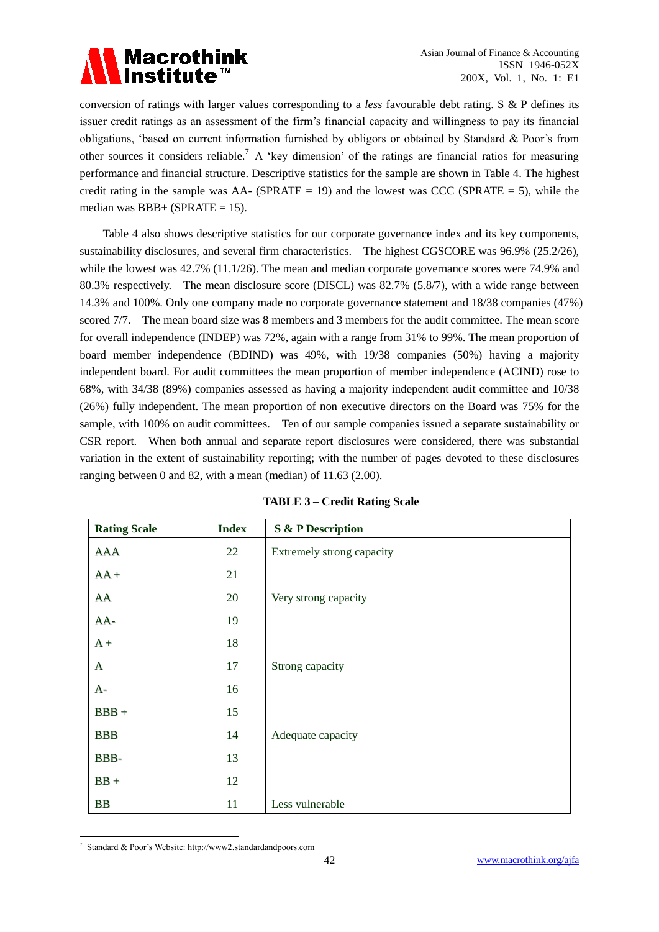## **Macrothink Institute**™

conversion of ratings with larger values corresponding to a *less* favourable debt rating. S & P defines its issuer credit ratings as an assessment of the firm"s financial capacity and willingness to pay its financial obligations, "based on current information furnished by obligors or obtained by Standard & Poor"s from other sources it considers reliable.<sup>7</sup> A 'key dimension' of the ratings are financial ratios for measuring performance and financial structure. Descriptive statistics for the sample are shown in Table 4. The highest credit rating in the sample was  $AA$ - (SPRATE = 19) and the lowest was CCC (SPRATE = 5), while the median was BBB+ (SPRATE  $= 15$ ).

Table 4 also shows descriptive statistics for our corporate governance index and its key components, sustainability disclosures, and several firm characteristics. The highest CGSCORE was 96.9% (25.2/26), while the lowest was  $42.7\%$  (11.1/26). The mean and median corporate governance scores were 74.9% and 80.3% respectively. The mean disclosure score (DISCL) was 82.7% (5.8/7), with a wide range between 14.3% and 100%. Only one company made no corporate governance statement and 18/38 companies (47%) scored 7/7. The mean board size was 8 members and 3 members for the audit committee. The mean score for overall independence (INDEP) was 72%, again with a range from 31% to 99%. The mean proportion of board member independence (BDIND) was 49%, with 19/38 companies (50%) having a majority independent board. For audit committees the mean proportion of member independence (ACIND) rose to 68%, with 34/38 (89%) companies assessed as having a majority independent audit committee and 10/38 (26%) fully independent. The mean proportion of non executive directors on the Board was 75% for the sample, with 100% on audit committees. Ten of our sample companies issued a separate sustainability or CSR report. When both annual and separate report disclosures were considered, there was substantial variation in the extent of sustainability reporting; with the number of pages devoted to these disclosures ranging between 0 and 82, with a mean (median) of 11.63 (2.00).

| <b>Rating Scale</b> | <b>Index</b> | <b>S</b> & P Description  |
|---------------------|--------------|---------------------------|
| <b>AAA</b>          | 22           | Extremely strong capacity |
| $AA +$              | 21           |                           |
| AA                  | 20           | Very strong capacity      |
| AA-                 | 19           |                           |
| $A +$               | 18           |                           |
| A                   | 17           | Strong capacity           |
| $A-$                | 16           |                           |
| $BBB +$             | 15           |                           |
| <b>BBB</b>          | 14           | Adequate capacity         |
| BBB-                | 13           |                           |
| $BB +$              | 12           |                           |
| <b>BB</b>           | 11           | Less vulnerable           |

|  |  | <b>TABLE 3 – Credit Rating Scale</b> |
|--|--|--------------------------------------|
|--|--|--------------------------------------|

<sup>-</sup>7 Standard & Poor"s Website: http://www2.standardandpoors.com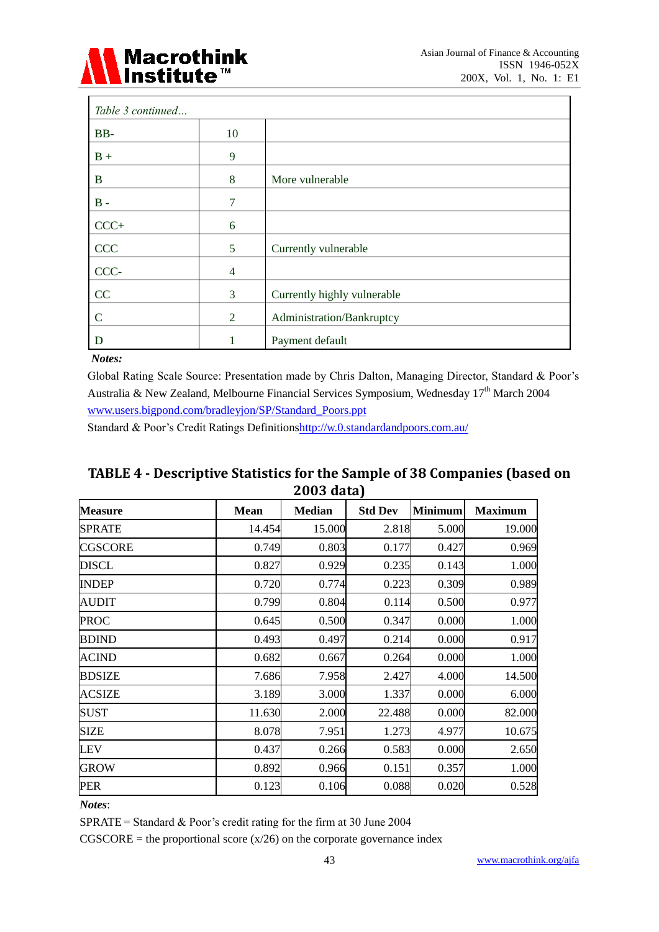

| Table 3 continued |                |                             |
|-------------------|----------------|-----------------------------|
| BB-               | 10             |                             |
| $B +$             | 9              |                             |
| B                 | 8              | More vulnerable             |
| $B -$             | $\overline{7}$ |                             |
| $CCC+$            | 6              |                             |
| <b>CCC</b>        | 5              | Currently vulnerable        |
| CCC-              | 4              |                             |
| CC                | 3              | Currently highly vulnerable |
| $\mathbf C$       | $\overline{2}$ | Administration/Bankruptcy   |
| D                 |                | Payment default             |

*Notes:*

Global Rating Scale Source: Presentation made by Chris Dalton, Managing Director, Standard & Poor's Australia & New Zealand, Melbourne Financial Services Symposium, Wednesday 17<sup>th</sup> March 2004 [www.users.bigpond.com/bradleyjon/SP/Standard\\_Poors.ppt](http://www.users.bigpond.com/bradleyjon/SP/Standard_Poors.ppt)

Standard & Poor"s Credit Ratings Definition[shttp://w.0.standardandpoors.com.au/](http://www.standardandpoors.com.au/)

#### **TABLE 4 - Descriptive Statistics for the Sample of 38 Companies (based on 2003 data)**

| <b>Measure</b> | <b>Mean</b> | <b>Median</b> | <b>Std Dev</b> | <b>Minimum</b> | <b>Maximum</b> |
|----------------|-------------|---------------|----------------|----------------|----------------|
| <b>SPRATE</b>  | 14.454      | 15.000        | 2.818          | 5.000          | 19.000         |
| <b>CGSCORE</b> | 0.749       | 0.803         | 0.177          | 0.427          | 0.969          |
| <b>DISCL</b>   | 0.827       | 0.929         | 0.235          | 0.143          | 1.000          |
| <b>INDEP</b>   | 0.720       | 0.774         | 0.223          | 0.309          | 0.989          |
| <b>AUDIT</b>   | 0.799       | 0.804         | 0.114          | 0.500          | 0.977          |
| <b>PROC</b>    | 0.645       | 0.500         | 0.347          | 0.000          | 1.000          |
| <b>BDIND</b>   | 0.493       | 0.497         | 0.214          | 0.000          | 0.917          |
| <b>ACIND</b>   | 0.682       | 0.667         | 0.264          | 0.000          | 1.000          |
| <b>BDSIZE</b>  | 7.686       | 7.958         | 2.427          | 4.000          | 14.500         |
| <b>ACSIZE</b>  | 3.189       | 3.000         | 1.337          | 0.000          | 6.000          |
| <b>SUST</b>    | 11.630      | 2.000         | 22.488         | 0.000          | 82.000         |
| <b>SIZE</b>    | 8.078       | 7.951         | 1.273          | 4.977          | 10.675         |
| <b>LEV</b>     | 0.437       | 0.266         | 0.583          | 0.000          | 2.650          |
| <b>GROW</b>    | 0.892       | 0.966         | 0.151          | 0.357          | 1.000          |
| <b>PER</b>     | 0.123       | 0.106         | 0.088          | 0.020          | 0.528          |

*Notes*:

 $SPRATE = Standard \& Poor's credit rating for the firm at 30 June 2004$ 

 $CGSCORE = the proportional score (x/26) on the corporate governance index$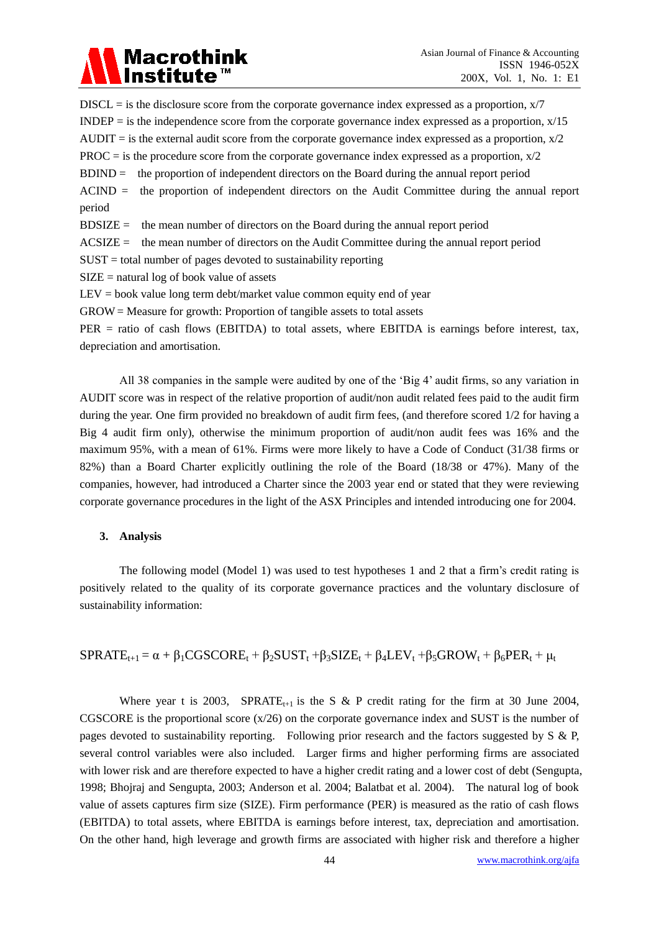

 $DISCL =$  is the disclosure score from the corporate governance index expressed as a proportion,  $x/7$ INDEP  $=$  is the independence score from the corporate governance index expressed as a proportion,  $x/15$ AUDIT = is the external audit score from the corporate governance index expressed as a proportion,  $x/2$  $PROC =$  is the procedure score from the corporate governance index expressed as a proportion,  $x/2$ BDIND = the proportion of independent directors on the Board during the annual report period ACIND = the proportion of independent directors on the Audit Committee during the annual report period  $BDSIZE =$  the mean number of directors on the Board during the annual report period ACSIZE = the mean number of directors on the Audit Committee during the annual report period SUST = total number of pages devoted to sustainability reporting  $SIZE =$  natural log of book value of assets LEV = book value long term debt/market value common equity end of year GROW = Measure for growth: Proportion of tangible assets to total assets

PER = ratio of cash flows (EBITDA) to total assets, where EBITDA is earnings before interest, tax, depreciation and amortisation.

All 38 companies in the sample were audited by one of the "Big 4" audit firms, so any variation in AUDIT score was in respect of the relative proportion of audit/non audit related fees paid to the audit firm during the year. One firm provided no breakdown of audit firm fees, (and therefore scored 1/2 for having a Big 4 audit firm only), otherwise the minimum proportion of audit/non audit fees was 16% and the maximum 95%, with a mean of 61%. Firms were more likely to have a Code of Conduct (31/38 firms or 82%) than a Board Charter explicitly outlining the role of the Board (18/38 or 47%). Many of the companies, however, had introduced a Charter since the 2003 year end or stated that they were reviewing corporate governance procedures in the light of the ASX Principles and intended introducing one for 2004.

#### **3. Analysis**

The following model (Model 1) was used to test hypotheses 1 and 2 that a firm"s credit rating is positively related to the quality of its corporate governance practices and the voluntary disclosure of sustainability information:

 $SPRATE_{t+1} = \alpha + \beta_1 CGSCORE_t + \beta_2 SUST_t + \beta_3 SIZE_t + \beta_4 LEV_t + \beta_5 GROW_t + \beta_6 PER_t + \mu_t$ 

Where year t is 2003, SPRATE<sub>t+1</sub> is the S & P credit rating for the firm at 30 June 2004, CGSCORE is the proportional score  $(x/26)$  on the corporate governance index and SUST is the number of pages devoted to sustainability reporting. Following prior research and the factors suggested by S & P, several control variables were also included. Larger firms and higher performing firms are associated with lower risk and are therefore expected to have a higher credit rating and a lower cost of debt (Sengupta, 1998; Bhojraj and Sengupta, 2003; Anderson et al. 2004; Balatbat et al. 2004). The natural log of book value of assets captures firm size (SIZE). Firm performance (PER) is measured as the ratio of cash flows (EBITDA) to total assets, where EBITDA is earnings before interest, tax, depreciation and amortisation. On the other hand, high leverage and growth firms are associated with higher risk and therefore a higher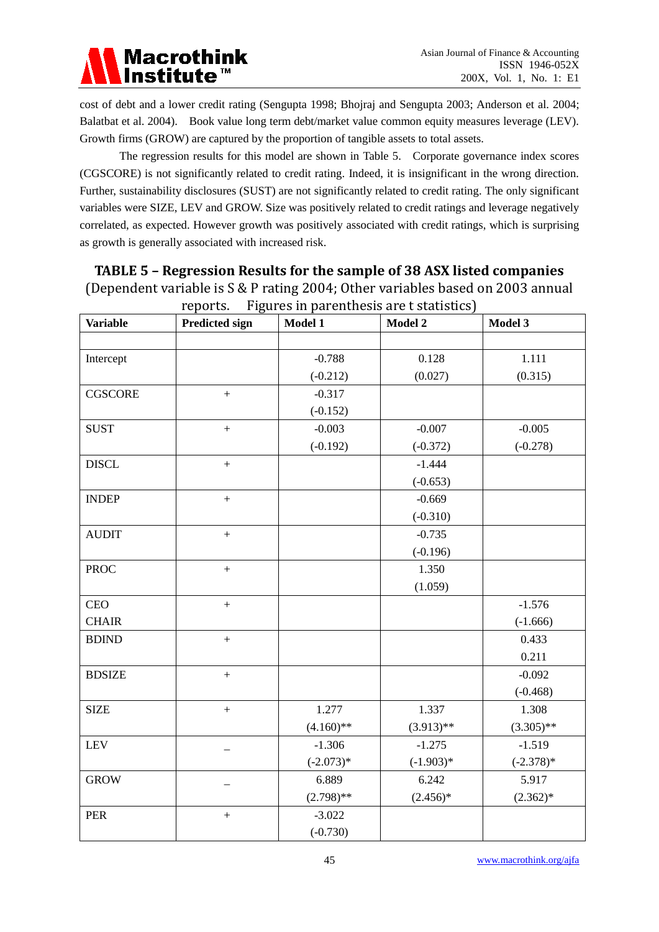

cost of debt and a lower credit rating (Sengupta 1998; Bhojraj and Sengupta 2003; Anderson et al. 2004; Balatbat et al. 2004). Book value long term debt/market value common equity measures leverage (LEV). Growth firms (GROW) are captured by the proportion of tangible assets to total assets.

The regression results for this model are shown in Table 5. Corporate governance index scores (CGSCORE) is not significantly related to credit rating. Indeed, it is insignificant in the wrong direction. Further, sustainability disclosures (SUST) are not significantly related to credit rating. The only significant variables were SIZE, LEV and GROW. Size was positively related to credit ratings and leverage negatively correlated, as expected. However growth was positively associated with credit ratings, which is surprising as growth is generally associated with increased risk.

| Figures in parenthesis are t statistics)<br>reports. |                       |              |              |              |  |  |  |  |  |
|------------------------------------------------------|-----------------------|--------------|--------------|--------------|--|--|--|--|--|
| <b>Variable</b>                                      | <b>Predicted sign</b> | Model 1      | Model 2      | Model 3      |  |  |  |  |  |
|                                                      |                       |              |              |              |  |  |  |  |  |
| Intercept                                            |                       | $-0.788$     | 0.128        | 1.111        |  |  |  |  |  |
|                                                      |                       | $(-0.212)$   | (0.027)      | (0.315)      |  |  |  |  |  |
| <b>CGSCORE</b>                                       | $\qquad \qquad +$     | $-0.317$     |              |              |  |  |  |  |  |
|                                                      |                       | $(-0.152)$   |              |              |  |  |  |  |  |
| <b>SUST</b>                                          | $\ddot{}$             | $-0.003$     | $-0.007$     | $-0.005$     |  |  |  |  |  |
|                                                      |                       | $(-0.192)$   | $(-0.372)$   | $(-0.278)$   |  |  |  |  |  |
| <b>DISCL</b>                                         |                       |              | $-1.444$     |              |  |  |  |  |  |
|                                                      |                       |              | $(-0.653)$   |              |  |  |  |  |  |
| <b>INDEP</b>                                         | $\qquad \qquad +$     |              | $-0.669$     |              |  |  |  |  |  |
|                                                      |                       |              | $(-0.310)$   |              |  |  |  |  |  |
| <b>AUDIT</b>                                         | $\qquad \qquad +$     |              | $-0.735$     |              |  |  |  |  |  |
|                                                      |                       |              | $(-0.196)$   |              |  |  |  |  |  |
| <b>PROC</b>                                          |                       |              | 1.350        |              |  |  |  |  |  |
|                                                      |                       |              | (1.059)      |              |  |  |  |  |  |
| CEO                                                  | $\ddot{}$             |              |              | $-1.576$     |  |  |  |  |  |
| <b>CHAIR</b>                                         |                       |              |              | $(-1.666)$   |  |  |  |  |  |
| <b>BDIND</b>                                         | $\ddot{}$             |              |              | 0.433        |  |  |  |  |  |
|                                                      |                       |              |              | 0.211        |  |  |  |  |  |
| <b>BDSIZE</b>                                        | $\qquad \qquad +$     |              |              | $-0.092$     |  |  |  |  |  |
|                                                      |                       |              |              | $(-0.468)$   |  |  |  |  |  |
| <b>SIZE</b>                                          | $+$                   | 1.277        | 1.337        | 1.308        |  |  |  |  |  |
|                                                      |                       | $(4.160)$ ** | $(3.913)$ ** | $(3.305)$ ** |  |  |  |  |  |
| <b>LEV</b>                                           |                       | $-1.306$     | $-1.275$     | $-1.519$     |  |  |  |  |  |
|                                                      |                       | $(-2.073)*$  | $(-1.903)*$  | $(-2.378)*$  |  |  |  |  |  |
| <b>GROW</b>                                          |                       | 6.889        | 6.242        | 5.917        |  |  |  |  |  |
|                                                      |                       | $(2.798)$ ** | $(2.456)^*$  | $(2.362)*$   |  |  |  |  |  |
| PER                                                  | $\qquad \qquad +$     | $-3.022$     |              |              |  |  |  |  |  |
|                                                      |                       | $(-0.730)$   |              |              |  |  |  |  |  |

**TABLE 5 – Regression Results for the sample of 38 ASX listed companies** 

(Dependent variable is S & P rating 2004; Other variables based on 2003 annual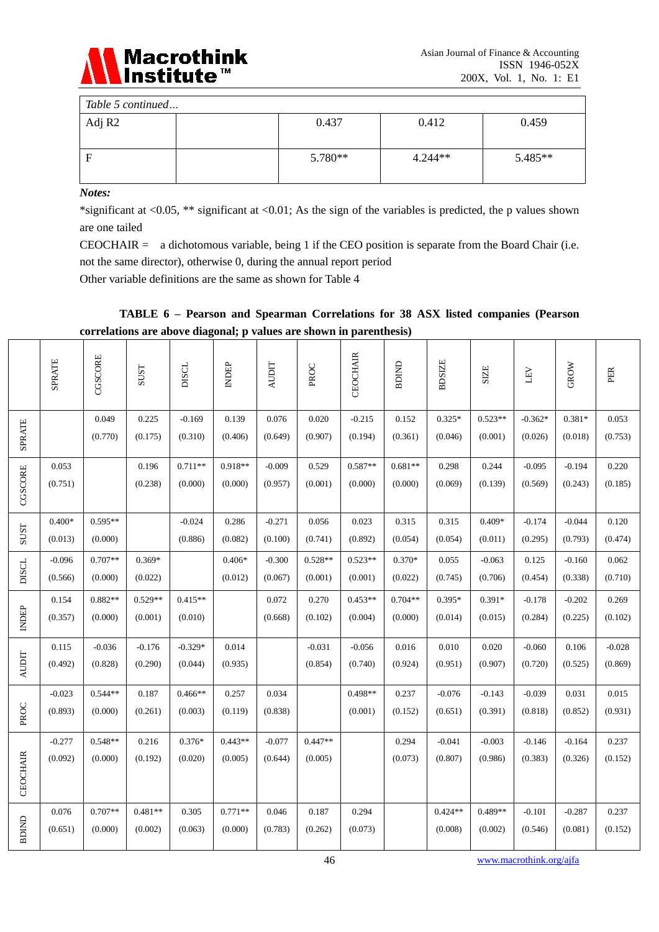

| Table 5 continued |           |           |           |  |  |  |  |  |  |
|-------------------|-----------|-----------|-----------|--|--|--|--|--|--|
| Adj R2            | 0.437     | 0.412     | 0.459     |  |  |  |  |  |  |
|                   |           |           |           |  |  |  |  |  |  |
|                   |           |           |           |  |  |  |  |  |  |
| E                 | $5.780**$ | $4.244**$ | $5.485**$ |  |  |  |  |  |  |
|                   |           |           |           |  |  |  |  |  |  |
|                   |           |           |           |  |  |  |  |  |  |

*Notes:*

\*significant at <0.05, \*\* significant at <0.01; As the sign of the variables is predicted, the p values shown are one tailed

CEOCHAIR = a dichotomous variable, being 1 if the CEO position is separate from the Board Chair (i.e. not the same director), otherwise 0, during the annual report period

Other variable definitions are the same as shown for Table 4

|                 | <b>SPRATE</b> | CGSCORE   | <b>SUST</b> | DISCL     | <b>INDEP</b> | AUDIT    | PROC      | CEOCHAIR  | <b>BDIND</b> | <b>BDSIZE</b> | <b>SIZE</b> | LEV       | <b>GROW</b> | PER      |
|-----------------|---------------|-----------|-------------|-----------|--------------|----------|-----------|-----------|--------------|---------------|-------------|-----------|-------------|----------|
|                 |               | 0.049     | 0.225       | $-0.169$  | 0.139        | 0.076    | 0.020     | $-0.215$  | 0.152        | $0.325*$      | $0.523**$   | $-0.362*$ | $0.381*$    | 0.053    |
| <b>SPRATE</b>   |               | (0.770)   | (0.175)     | (0.310)   | (0.406)      | (0.649)  | (0.907)   | (0.194)   | (0.361)      | (0.046)       | (0.001)     | (0.026)   | (0.018)     | (0.753)  |
|                 | 0.053         |           | 0.196       | $0.711**$ | 0.918**      | $-0.009$ | 0.529     | $0.587**$ | $0.681**$    | 0.298         | 0.244       | $-0.095$  | $-0.194$    | 0.220    |
| CGSCORE         | (0.751)       |           | (0.238)     | (0.000)   | (0.000)      | (0.957)  | (0.001)   | (0.000)   | (0.000)      | (0.069)       | (0.139)     | (0.569)   | (0.243)     | (0.185)  |
|                 | $0.400*$      | $0.595**$ |             | $-0.024$  | 0.286        | $-0.271$ | 0.056     | 0.023     | 0.315        | 0.315         | $0.409*$    | $-0.174$  | $-0.044$    | 0.120    |
| <b>SUST</b>     | (0.013)       | (0.000)   |             | (0.886)   | (0.082)      | (0.100)  | (0.741)   | (0.892)   | (0.054)      | (0.054)       | (0.011)     | (0.295)   | (0.793)     | (0.474)  |
|                 | $-0.096$      | $0.707**$ | $0.369*$    |           | $0.406*$     | $-0.300$ | $0.528**$ | $0.523**$ | $0.370*$     | 0.055         | $-0.063$    | 0.125     | $-0.160$    | 0.062    |
| DISCL           | (0.566)       | (0.000)   | (0.022)     |           | (0.012)      | (0.067)  | (0.001)   | (0.001)   | (0.022)      | (0.745)       | (0.706)     | (0.454)   | (0.338)     | (0.710)  |
|                 | 0.154         | $0.882**$ | $0.529**$   | $0.415**$ |              | 0.072    | 0.270     | $0.453**$ | $0.704**$    | $0.395*$      | $0.391*$    | $-0.178$  | $-0.202$    | 0.269    |
| <b>INDEP</b>    | (0.357)       | (0.000)   | (0.001)     | (0.010)   |              | (0.668)  | (0.102)   | (0.004)   | (0.000)      | (0.014)       | (0.015)     | (0.284)   | (0.225)     | (0.102)  |
|                 | 0.115         | $-0.036$  | $-0.176$    | $-0.329*$ | 0.014        |          | $-0.031$  | $-0.056$  | 0.016        | 0.010         | 0.020       | $-0.060$  | 0.106       | $-0.028$ |
| AUDIT           | (0.492)       | (0.828)   | (0.290)     | (0.044)   | (0.935)      |          | (0.854)   | (0.740)   | (0.924)      | (0.951)       | (0.907)     | (0.720)   | (0.525)     | (0.869)  |
|                 | $-0.023$      | $0.544**$ | 0.187       | $0.466**$ | 0.257        | 0.034    |           | $0.498**$ | 0.237        | $-0.076$      | $-0.143$    | $-0.039$  | 0.031       | 0.015    |
| PROC            | (0.893)       | (0.000)   | (0.261)     | (0.003)   | (0.119)      | (0.838)  |           | (0.001)   | (0.152)      | (0.651)       | (0.391)     | (0.818)   | (0.852)     | (0.931)  |
|                 | $-0.277$      | $0.548**$ | 0.216       | $0.376*$  | $0.443**$    | $-0.077$ | $0.447**$ |           | 0.294        | $-0.041$      | $-0.003$    | $-0.146$  | $-0.164$    | 0.237    |
| <b>CEOCHAIR</b> | (0.092)       | (0.000)   | (0.192)     | (0.020)   | (0.005)      | (0.644)  | (0.005)   |           | (0.073)      | (0.807)       | (0.986)     | (0.383)   | (0.326)     | (0.152)  |
|                 | 0.076         | $0.707**$ | $0.481**$   | 0.305     | $0.771**$    | 0.046    | 0.187     | 0.294     |              | $0.424**$     | 0.489**     | $-0.101$  | $-0.287$    | 0.237    |
| BDIND           | (0.651)       | (0.000)   | (0.002)     | (0.063)   | (0.000)      | (0.783)  | (0.262)   | (0.073)   |              | (0.008)       | (0.002)     | (0.546)   | (0.081)     | (0.152)  |

**TABLE 6 – Pearson and Spearman Correlations for 38 ASX listed companies (Pearson correlations are above diagonal; p values are shown in parenthesis)**

46 www.macrothink.org/ajfa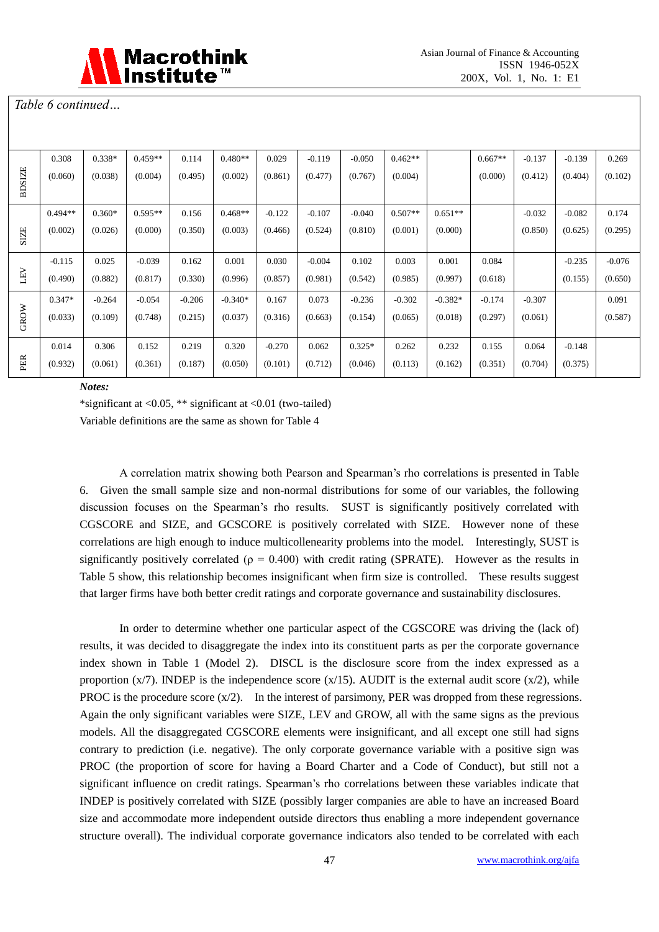

*Table 6 continued…*

|               | 0.308     | $0.338*$ | $0.459**$ | 0.114    | $0.480**$ | 0.029    | $-0.119$ | $-0.050$ | $0.462**$ |           | $0.667**$ | $-0.137$ | $-0.139$ | 0.269    |
|---------------|-----------|----------|-----------|----------|-----------|----------|----------|----------|-----------|-----------|-----------|----------|----------|----------|
| <b>BDSIZE</b> | (0.060)   | (0.038)  | (0.004)   | (0.495)  | (0.002)   | (0.861)  | (0.477)  | (0.767)  | (0.004)   |           | (0.000)   | (0.412)  | (0.404)  | (0.102)  |
|               |           |          |           |          |           |          |          |          |           |           |           |          |          |          |
|               | $0.494**$ | $0.360*$ | $0.595**$ | 0.156    | $0.468**$ | $-0.122$ | $-0.107$ | $-0.040$ | $0.507**$ | $0.651**$ |           | $-0.032$ | $-0.082$ | 0.174    |
| <b>SIZE</b>   | (0.002)   | (0.026)  | (0.000)   | (0.350)  | (0.003)   | (0.466)  | (0.524)  | (0.810)  | (0.001)   | (0.000)   |           | (0.850)  | (0.625)  | (0.295)  |
|               |           |          |           |          |           |          |          |          |           |           |           |          |          |          |
|               | $-0.115$  | 0.025    | $-0.039$  | 0.162    | 0.001     | 0.030    | $-0.004$ | 0.102    | 0.003     | 0.001     | 0.084     |          | $-0.235$ | $-0.076$ |
| LEV           | (0.490)   | (0.882)  | (0.817)   | (0.330)  | (0.996)   | (0.857)  | (0.981)  | (0.542)  | (0.985)   | (0.997)   | (0.618)   |          | (0.155)  | (0.650)  |
|               | $0.347*$  | $-0.264$ | $-0.054$  | $-0.206$ | $-0.340*$ | 0.167    | 0.073    | $-0.236$ | $-0.302$  | $-0.382*$ | $-0.174$  | $-0.307$ |          | 0.091    |
| <b>GROW</b>   | (0.033)   | (0.109)  | (0.748)   | (0.215)  | (0.037)   | (0.316)  | (0.663)  | (0.154)  | (0.065)   | (0.018)   | (0.297)   | (0.061)  |          | (0.587)  |
|               |           |          |           |          |           |          |          |          |           |           |           |          |          |          |
|               | 0.014     | 0.306    | 0.152     | 0.219    | 0.320     | $-0.270$ | 0.062    | $0.325*$ | 0.262     | 0.232     | 0.155     | 0.064    | $-0.148$ |          |
| PER           | (0.932)   | (0.061)  | (0.361)   | (0.187)  | (0.050)   | (0.101)  | (0.712)  | (0.046)  | (0.113)   | (0.162)   | (0.351)   | (0.704)  | (0.375)  |          |

*Notes:*

\*significant at <0.05, \*\* significant at <0.01 (two-tailed)

Variable definitions are the same as shown for Table 4

A correlation matrix showing both Pearson and Spearman"s rho correlations is presented in Table 6. Given the small sample size and non-normal distributions for some of our variables, the following discussion focuses on the Spearman"s rho results. SUST is significantly positively correlated with CGSCORE and SIZE, and GCSCORE is positively correlated with SIZE. However none of these correlations are high enough to induce multicollenearity problems into the model. Interestingly, SUST is significantly positively correlated ( $\rho = 0.400$ ) with credit rating (SPRATE). However as the results in Table 5 show, this relationship becomes insignificant when firm size is controlled. These results suggest that larger firms have both better credit ratings and corporate governance and sustainability disclosures.

In order to determine whether one particular aspect of the CGSCORE was driving the (lack of) results, it was decided to disaggregate the index into its constituent parts as per the corporate governance index shown in Table 1 (Model 2). DISCL is the disclosure score from the index expressed as a proportion  $(x/7)$ . INDEP is the independence score  $(x/15)$ . AUDIT is the external audit score  $(x/2)$ , while PROC is the procedure score  $(x/2)$ . In the interest of parsimony, PER was dropped from these regressions. Again the only significant variables were SIZE, LEV and GROW, all with the same signs as the previous models. All the disaggregated CGSCORE elements were insignificant, and all except one still had signs contrary to prediction (i.e. negative). The only corporate governance variable with a positive sign was PROC (the proportion of score for having a Board Charter and a Code of Conduct), but still not a significant influence on credit ratings. Spearman"s rho correlations between these variables indicate that INDEP is positively correlated with SIZE (possibly larger companies are able to have an increased Board size and accommodate more independent outside directors thus enabling a more independent governance structure overall). The individual corporate governance indicators also tended to be correlated with each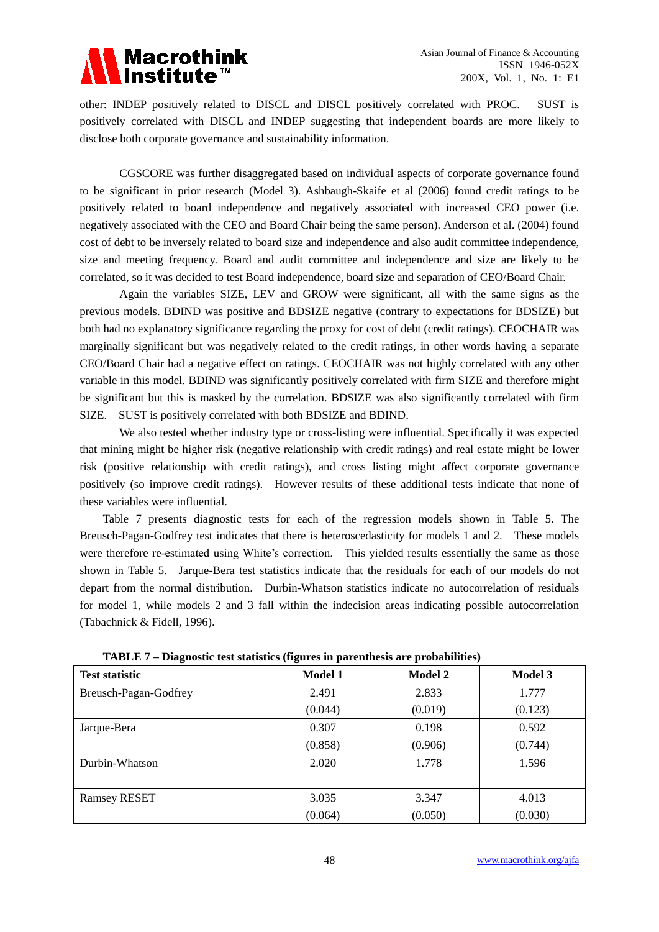## **Macrothink**

other: INDEP positively related to DISCL and DISCL positively correlated with PROC. SUST is positively correlated with DISCL and INDEP suggesting that independent boards are more likely to disclose both corporate governance and sustainability information.

CGSCORE was further disaggregated based on individual aspects of corporate governance found to be significant in prior research (Model 3). Ashbaugh-Skaife et al (2006) found credit ratings to be positively related to board independence and negatively associated with increased CEO power (i.e. negatively associated with the CEO and Board Chair being the same person). Anderson et al. (2004) found cost of debt to be inversely related to board size and independence and also audit committee independence, size and meeting frequency. Board and audit committee and independence and size are likely to be correlated, so it was decided to test Board independence, board size and separation of CEO/Board Chair.

Again the variables SIZE, LEV and GROW were significant, all with the same signs as the previous models. BDIND was positive and BDSIZE negative (contrary to expectations for BDSIZE) but both had no explanatory significance regarding the proxy for cost of debt (credit ratings). CEOCHAIR was marginally significant but was negatively related to the credit ratings, in other words having a separate CEO/Board Chair had a negative effect on ratings. CEOCHAIR was not highly correlated with any other variable in this model. BDIND was significantly positively correlated with firm SIZE and therefore might be significant but this is masked by the correlation. BDSIZE was also significantly correlated with firm SIZE. SUST is positively correlated with both BDSIZE and BDIND.

We also tested whether industry type or cross-listing were influential. Specifically it was expected that mining might be higher risk (negative relationship with credit ratings) and real estate might be lower risk (positive relationship with credit ratings), and cross listing might affect corporate governance positively (so improve credit ratings). However results of these additional tests indicate that none of these variables were influential.

Table 7 presents diagnostic tests for each of the regression models shown in Table 5. The Breusch-Pagan-Godfrey test indicates that there is heteroscedasticity for models 1 and 2. These models were therefore re-estimated using White's correction. This yielded results essentially the same as those shown in Table 5. Jarque-Bera test statistics indicate that the residuals for each of our models do not depart from the normal distribution. Durbin-Whatson statistics indicate no autocorrelation of residuals for model 1, while models 2 and 3 fall within the indecision areas indicating possible autocorrelation (Tabachnick & Fidell, 1996).

| <b>Test statistic</b> | <b>Model 1</b> | <b>Model 2</b> | <b>Model 3</b> |
|-----------------------|----------------|----------------|----------------|
| Breusch-Pagan-Godfrey | 2.491          | 2.833          | 1.777          |
|                       | (0.044)        | (0.019)        | (0.123)        |
| Jarque-Bera           | 0.307          | 0.198          | 0.592          |
|                       | (0.858)        | (0.906)        | (0.744)        |
| Durbin-Whatson        | 2.020          | 1.778          | 1.596          |
|                       |                |                |                |
| <b>Ramsey RESET</b>   | 3.035          | 3.347          | 4.013          |
|                       | (0.064)        | (0.050)        | (0.030)        |

**TABLE 7 – Diagnostic test statistics (figures in parenthesis are probabilities)**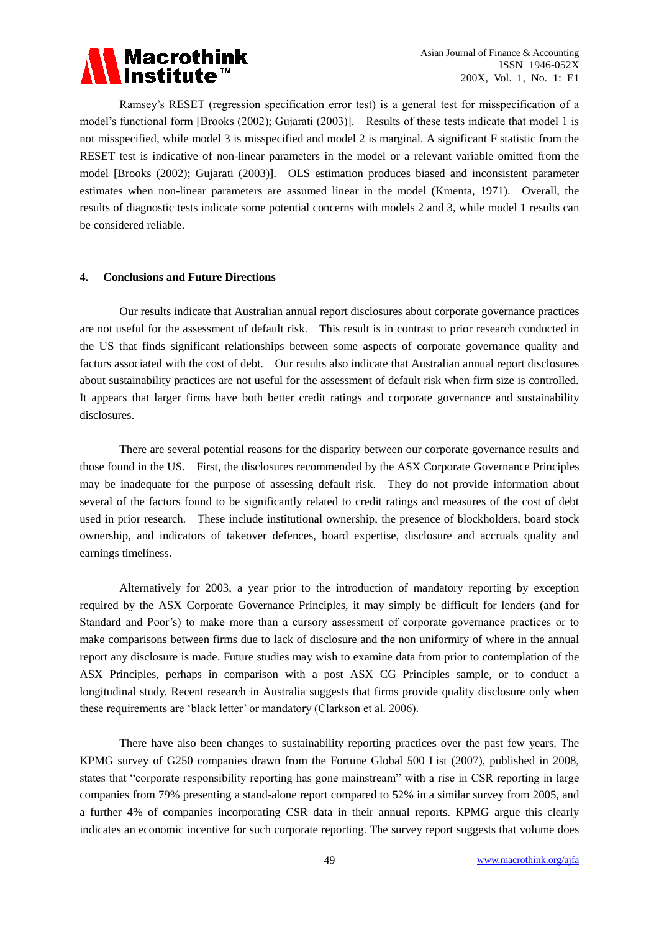

Ramsey's RESET (regression specification error test) is a general test for misspecification of a model"s functional form [Brooks (2002); Gujarati (2003)]. Results of these tests indicate that model 1 is not misspecified, while model 3 is misspecified and model 2 is marginal. A significant F statistic from the RESET test is indicative of non-linear parameters in the model or a relevant variable omitted from the model [Brooks (2002); Gujarati (2003)]. OLS estimation produces biased and inconsistent parameter estimates when non-linear parameters are assumed linear in the model (Kmenta, 1971). Overall, the results of diagnostic tests indicate some potential concerns with models 2 and 3, while model 1 results can be considered reliable.

#### **4. Conclusions and Future Directions**

Our results indicate that Australian annual report disclosures about corporate governance practices are not useful for the assessment of default risk. This result is in contrast to prior research conducted in the US that finds significant relationships between some aspects of corporate governance quality and factors associated with the cost of debt. Our results also indicate that Australian annual report disclosures about sustainability practices are not useful for the assessment of default risk when firm size is controlled. It appears that larger firms have both better credit ratings and corporate governance and sustainability disclosures.

There are several potential reasons for the disparity between our corporate governance results and those found in the US. First, the disclosures recommended by the ASX Corporate Governance Principles may be inadequate for the purpose of assessing default risk. They do not provide information about several of the factors found to be significantly related to credit ratings and measures of the cost of debt used in prior research. These include institutional ownership, the presence of blockholders, board stock ownership, and indicators of takeover defences, board expertise, disclosure and accruals quality and earnings timeliness.

Alternatively for 2003, a year prior to the introduction of mandatory reporting by exception required by the ASX Corporate Governance Principles, it may simply be difficult for lenders (and for Standard and Poor's) to make more than a cursory assessment of corporate governance practices or to make comparisons between firms due to lack of disclosure and the non uniformity of where in the annual report any disclosure is made. Future studies may wish to examine data from prior to contemplation of the ASX Principles, perhaps in comparison with a post ASX CG Principles sample, or to conduct a longitudinal study. Recent research in Australia suggests that firms provide quality disclosure only when these requirements are 'black letter' or mandatory (Clarkson et al. 2006).

There have also been changes to sustainability reporting practices over the past few years. The KPMG survey of G250 companies drawn from the Fortune Global 500 List (2007), published in 2008, states that "corporate responsibility reporting has gone mainstream" with a rise in CSR reporting in large companies from 79% presenting a stand-alone report compared to 52% in a similar survey from 2005, and a further 4% of companies incorporating CSR data in their annual reports. KPMG argue this clearly indicates an economic incentive for such corporate reporting. The survey report suggests that volume does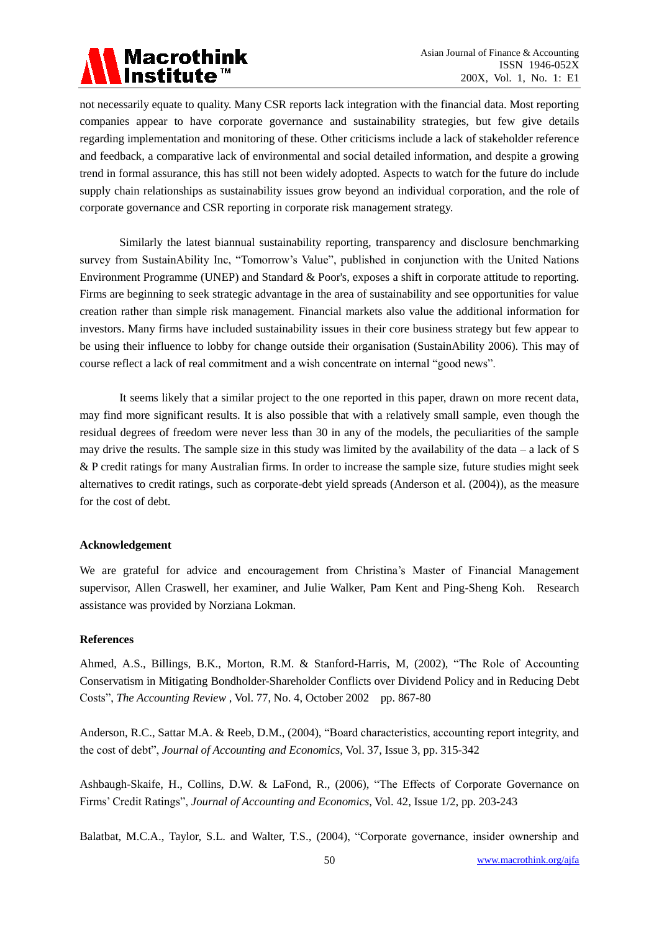# Macrothink<br>Institute™

not necessarily equate to quality. Many CSR reports lack integration with the financial data. Most reporting companies appear to have corporate governance and sustainability strategies, but few give details regarding implementation and monitoring of these. Other criticisms include a lack of stakeholder reference and feedback, a comparative lack of environmental and social detailed information, and despite a growing trend in formal assurance, this has still not been widely adopted. Aspects to watch for the future do include supply chain relationships as sustainability issues grow beyond an individual corporation, and the role of corporate governance and CSR reporting in corporate risk management strategy.

Similarly the latest biannual sustainability reporting, transparency and disclosure benchmarking survey from SustainAbility Inc, "Tomorrow's Value", published in conjunction with the United Nations Environment Programme (UNEP) and Standard & Poor's, exposes a shift in corporate attitude to reporting. Firms are beginning to seek strategic advantage in the area of sustainability and see opportunities for value creation rather than simple risk management. Financial markets also value the additional information for investors. Many firms have included sustainability issues in their core business strategy but few appear to be using their influence to lobby for change outside their organisation (SustainAbility 2006). This may of course reflect a lack of real commitment and a wish concentrate on internal "good news".

It seems likely that a similar project to the one reported in this paper, drawn on more recent data, may find more significant results. It is also possible that with a relatively small sample, even though the residual degrees of freedom were never less than 30 in any of the models, the peculiarities of the sample may drive the results. The sample size in this study was limited by the availability of the data – a lack of S & P credit ratings for many Australian firms. In order to increase the sample size, future studies might seek alternatives to credit ratings, such as corporate-debt yield spreads (Anderson et al. (2004)), as the measure for the cost of debt.

#### **Acknowledgement**

We are grateful for advice and encouragement from Christina"s Master of Financial Management supervisor, Allen Craswell, her examiner, and Julie Walker, Pam Kent and Ping-Sheng Koh. Research assistance was provided by Norziana Lokman.

#### **References**

Ahmed, A.S., Billings, B.K., Morton, R.M. & Stanford-Harris, M, (2002), "The Role of Accounting Conservatism in Mitigating Bondholder-Shareholder Conflicts over Dividend Policy and in Reducing Debt Costs", *The Accounting Review* , Vol. 77, No. 4, October 2002 pp. 867-80

Anderson, R.C., Sattar M.A. & Reeb, D.M., (2004), "Board characteristics, accounting report integrity, and the cost of debt", *Journal of Accounting and Economics*, Vol. 37, Issue 3, pp. 315-342

Ashbaugh-Skaife, H., Collins, D.W. & LaFond, R., (2006), "The Effects of Corporate Governance on Firms" Credit Ratings", *Journal of Accounting and Economics*, Vol. 42, Issue 1/2, pp. 203-243

Balatbat, M.C.A., Taylor, S.L. and Walter, T.S., (2004), "Corporate governance, insider ownership and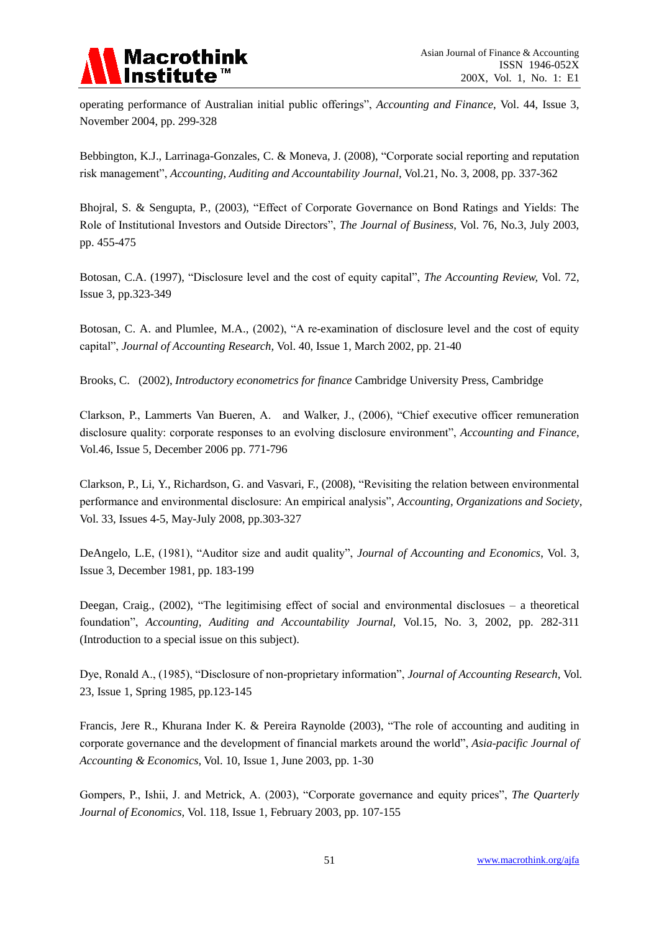

operating performance of Australian initial public offerings", *Accounting and Finance*, Vol. 44, Issue 3, November 2004, pp. 299-328

Bebbington, K.J., Larrinaga-Gonzales, C. & Moneva, J. (2008), "Corporate social reporting and reputation risk management", *Accounting, Auditing and Accountability Journal,* Vol.21, No. 3, 2008, pp. 337-362

Bhojral, S. & Sengupta, P., (2003), "Effect of Corporate Governance on Bond Ratings and Yields: The Role of Institutional Investors and Outside Directors", *The Journal of Business*, Vol. 76, No.3, July 2003, pp. 455-475

Botosan, C.A. (1997), "Disclosure level and the cost of equity capital", *The Accounting Review,* Vol. 72, Issue 3, pp.323-349

Botosan, C. A. and Plumlee, M.A., (2002), "A re-examination of disclosure level and the cost of equity capital", *Journal of Accounting Research,* Vol. 40, Issue 1, March 2002*,* pp. 21-40

Brooks, C. (2002), *Introductory econometrics for finance* Cambridge University Press, Cambridge

Clarkson, P., Lammerts Van Bueren, A. and Walker, J., (2006), "Chief executive officer remuneration disclosure quality: corporate responses to an evolving disclosure environment", *Accounting and Finance*, Vol.46, Issue 5, December 2006 pp. 771-796

Clarkson, P., Li, Y., Richardson, G. and Vasvari, F., (2008), "Revisiting the relation between environmental performance and environmental disclosure: An empirical analysis", *Accounting, Organizations and Society*, Vol. 33, Issues 4-5, May-July 2008, pp.303-327

DeAngelo, L.E, (1981), "Auditor size and audit quality", *Journal of Accounting and Economics*, Vol. 3, Issue 3, December 1981, pp. 183-199

Deegan, Craig., (2002), "The legitimising effect of social and environmental disclosues – a theoretical foundation", *Accounting, Auditing and Accountability Journal,* Vol.15, No. 3, 2002, pp. 282-311 (Introduction to a special issue on this subject).

Dye, Ronald A., (1985), "Disclosure of non-proprietary information", *Journal of Accounting Research*, Vol. 23, Issue 1, Spring 1985, pp.123-145

Francis, Jere R., Khurana Inder K. & Pereira Raynolde (2003), "The role of accounting and auditing in corporate governance and the development of financial markets around the world", *Asia-pacific Journal of Accounting & Economics,* Vol. 10, Issue 1, June 2003, pp. 1-30

Gompers, P., Ishii, J. and Metrick, A. (2003), "Corporate governance and equity prices", *The Quarterly Journal of Economics,* Vol. 118, Issue 1, February 2003, pp. 107-155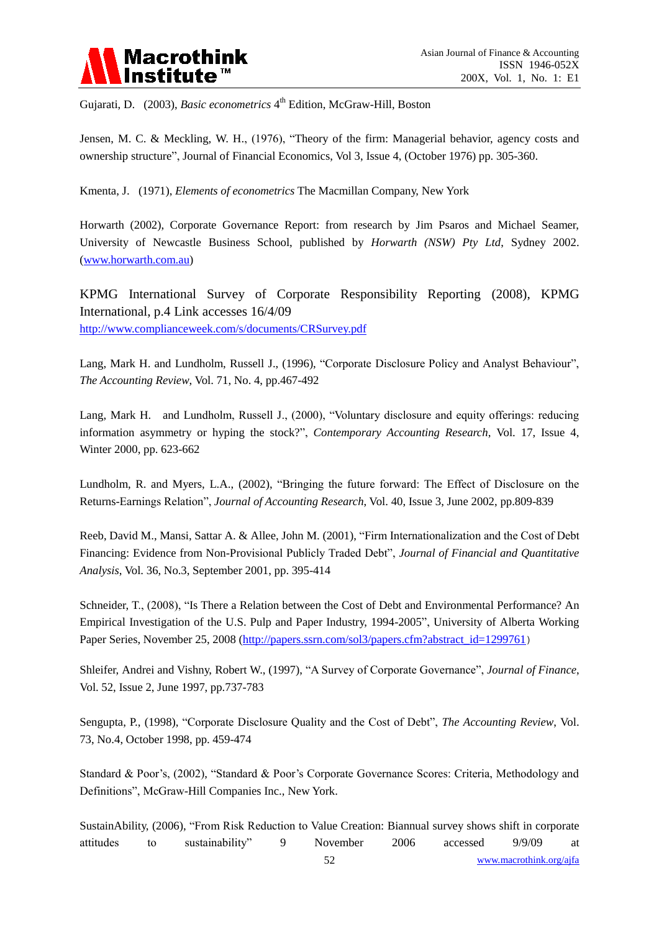

Gujarati, D. (2003), *Basic econometrics* 4<sup>th</sup> Edition, McGraw-Hill, Boston

Jensen, M. C. & Meckling, W. H., (1976), "Theory of the firm: Managerial behavior, agency costs and ownership structure", Journal of Financial Economics, Vol 3, Issue 4, (October 1976) pp. 305-360.

Kmenta, J. (1971), *Elements of econometrics* The Macmillan Company, New York

Horwarth (2002), Corporate Governance Report: from research by Jim Psaros and Michael Seamer, University of Newcastle Business School, published by *Horwarth (NSW) Pty Ltd*, Sydney 2002. [\(www.horwarth.com.au\)](http://www.horwarth.com.au/)

KPMG International Survey of Corporate Responsibility Reporting (2008), KPMG International, p.4 Link accesses 16/4/09 <http://www.complianceweek.com/s/documents/CRSurvey.pdf>

Lang, Mark H. and Lundholm, Russell J., (1996), "Corporate Disclosure Policy and Analyst Behaviour", *The Accounting Review*, Vol. 71, No. 4, pp.467-492

Lang, Mark H. and Lundholm, Russell J., (2000), "Voluntary disclosure and equity offerings: reducing information asymmetry or hyping the stock?", *Contemporary Accounting Research*, Vol. 17, Issue 4, Winter 2000, pp. 623-662

Lundholm, R. and Myers, L.A., (2002), "Bringing the future forward: The Effect of Disclosure on the Returns-Earnings Relation", *Journal of Accounting Research*, Vol. 40, Issue 3, June 2002, pp.809-839

Reeb, David M., Mansi, Sattar A. & Allee, John M. (2001), "Firm Internationalization and the Cost of Debt Financing: Evidence from Non-Provisional Publicly Traded Debt", *Journal of Financial and Quantitative Analysis*, Vol. 36, No.3, September 2001, pp. 395-414

[Schneider,](http://papers.ssrn.com/sol3/cf_dev/AbsByAuth.cfm?per_id=1154144) T., (2008), "Is There a Relation between the Cost of Debt and Environmental Performance? An Empirical Investigation of the U.S. Pulp and Paper Industry, 1994-2005", University of Alberta Working Paper Series, November 25, 2008 [\(http://papers.ssrn.com/sol3/papers.cfm?abstract\\_id=1299761](http://papers.ssrn.com/sol3/papers.cfm?abstract_id=1299761))

Shleifer, Andrei and Vishny, Robert W., (1997), "A Survey of Corporate Governance", *Journal of Finance*, Vol. 52, Issue 2, June 1997, pp.737-783

Sengupta, P., (1998), "Corporate Disclosure Quality and the Cost of Debt", *The Accounting Review*, Vol. 73, No.4, October 1998, pp. 459-474

Standard & Poor"s, (2002), "Standard & Poor"s Corporate Governance Scores: Criteria, Methodology and Definitions", McGraw-Hill Companies Inc., New York.

SustainAbility, (2006), "From Risk Reduction to Value Creation: Biannual survey shows shift in corporate attitudes to sustainability" 9 November 2006 accessed 9/9/09 at